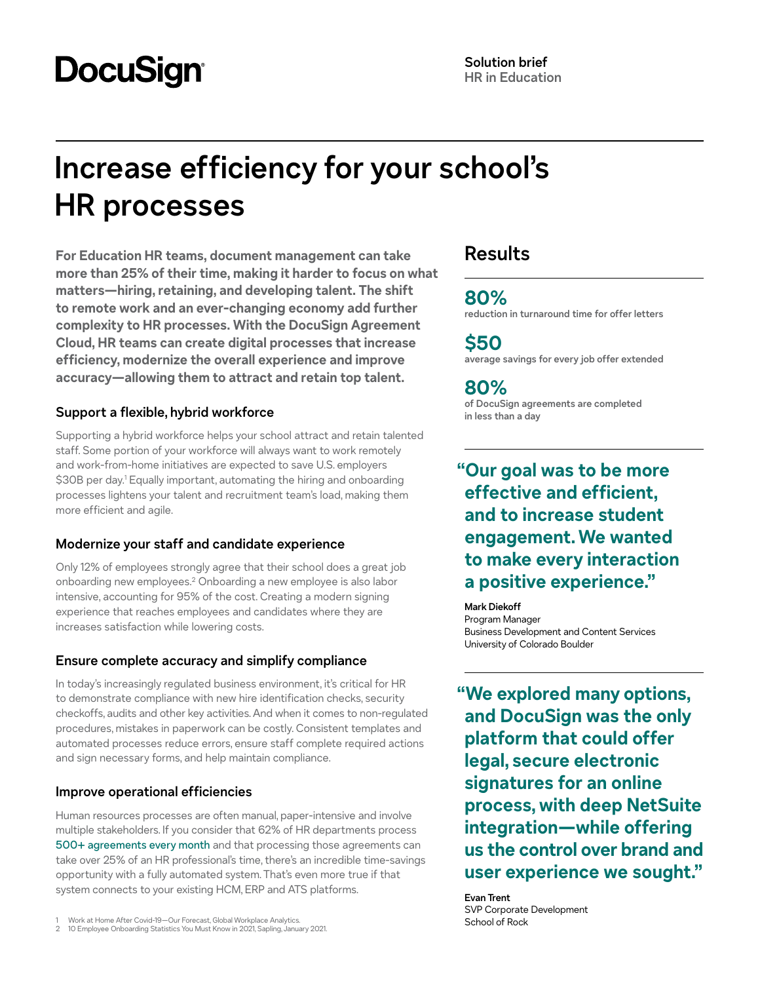# **DocuSign**

## **Increase efficiency for your school's HR processes**

**For Education HR teams, document management can take more than 25% of their time, making it harder to focus on what matters—hiring, retaining, and developing talent. The shift to remote work and an ever-changing economy add further complexity to HR processes. With the DocuSign Agreement Cloud, HR teams can create digital processes that increase efficiency, modernize the overall experience and improve accuracy—allowing them to attract and retain top talent.**

## **Support a flexible, hybrid workforce**

Supporting a hybrid workforce helps your school attract and retain talented staff. Some portion of your workforce will always want to work remotely and work-from-home initiatives are expected to save U.S. employers \$30B per day.1 Equally important, automating the hiring and onboarding processes lightens your talent and recruitment team's load, making them more efficient and agile.

## **Modernize your staff and candidate experience**

Only 12% of employees strongly agree that their school does a great job onboarding new employees.2 Onboarding a new employee is also labor intensive, accounting for 95% of the cost. Creating a modern signing experience that reaches employees and candidates where they are increases satisfaction while lowering costs.

## **Ensure complete accuracy and simplify compliance**

In today's increasingly regulated business environment, it's critical for HR to demonstrate compliance with new hire identification checks, security checkoffs, audits and other key activities. And when it comes to non-regulated procedures, mistakes in paperwork can be costly. Consistent templates and automated processes reduce errors, ensure staff complete required actions and sign necessary forms, and help maintain compliance.

## **Improve operational efficiencies**

Human resources processes are often manual, paper-intensive and involve multiple stakeholders. If you consider that 62% of HR departments process [500+ agreements every month](https://www.docusign.com/the-state-of-systems-of-agreement) and that processing those agreements can take over 25% of an HR professional's time, there's an incredible time-savings opportunity with a fully automated system. That's even more true if that system connects to your existing HCM, ERP and ATS platforms.

2 10 Employee Onboarding Statistics You Must Know in 2021, Sapling, January 2021.

## **Results**

**80% reduction in turnaround time for offer letters** 

**\$50 average savings for every job offer extended**

**80% of DocuSign agreements are completed in less than a day**

**"Our goal was to be more effective and efficient, and to increase student engagement. We wanted to make every interaction a positive experience."**

**Mark Diekoff** Program Manager Business Development and Content Services University of Colorado Boulder

**"We explored many options, and DocuSign was the only platform that could offer legal, secure electronic signatures for an online process, with deep NetSuite integration—while offering us the control over brand and user experience we sought."**

**Evan Trent** SVP Corporate Development

Work at Home After Covid-19—Our Forecast, Global Workplace Analytics.<br>And The School of Rock